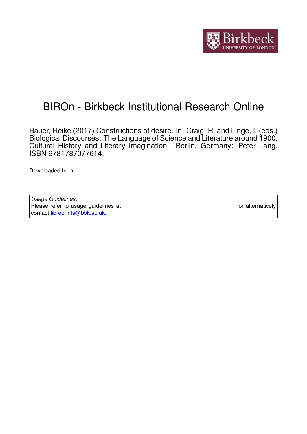

## BIROn - Birkbeck Institutional Research Online

Bauer, Heike (2017) Constructions of desire. In: Craig, R. and Linge, I. (eds.) Biological Discourses: The Language of Science and Literature around 1900. Cultural History and Literary Imagination. Berlin, Germany: Peter Lang. ISBN 9781787077614.

Downloaded from: <https://eprints.bbk.ac.uk/id/eprint/21242/>

| Usage Guidelines:                                                           |                  |
|-----------------------------------------------------------------------------|------------------|
| Please refer to usage guidelines at https://eprints.bbk.ac.uk/policies.html | or alternatively |
| contact lib-eprints@bbk.ac.uk                                               |                  |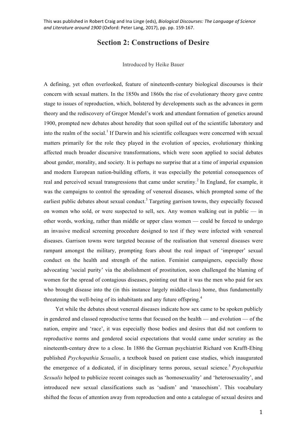## **Section 2: Constructions of Desire**

Introduced by Heike Bauer

A defining, yet often overlooked, feature of nineteenth-century biological discourses is their concern with sexual matters. In the 1850s and 1860s the rise of evolutionary theory gave centre stage to issues of reproduction, which, bolstered by developments such as the advances in germ theory and the rediscovery of Gregor Mendel's work and attendant formation of genetics around 1900, prompted new debates about heredity that soon spilled out of the scientific laboratory and into the realm of the social. <sup>1</sup> If Darwin and his scientific colleagues were concerned with sexual matters primarily for the role they played in the evolution of species, evolutionary thinking affected much broader discursive transformations, which were soon applied to social debates about gender, morality, and society. It is perhaps no surprise that at a time of imperial expansion and modern European nation-building efforts, it was especially the potential consequences of real and perceived sexual transgressions that came under scrutiny.<sup>2</sup> In England, for example, it was the campaigns to control the spreading of venereal diseases, which prompted some of the earliest public debates about sexual conduct.<sup>3</sup> Targeting garrison towns, they especially focused on women who sold, or were suspected to sell, sex. Any women walking out in public — in other words, working, rather than middle or upper class women — could be forced to undergo an invasive medical screening procedure designed to test if they were infected with venereal diseases. Garrison towns were targeted because of the realisation that venereal diseases were rampant amongst the military, prompting fears about the real impact of 'improper' sexual conduct on the health and strength of the nation. Feminist campaigners, especially those advocating 'social purity' via the abolishment of prostitution, soon challenged the blaming of women for the spread of contagious diseases, pointing out that it was the men who paid for sex who brought disease into the (in this instance largely middle-class) home, thus fundamentally threatening the well-being of its inhabitants and any future offspring.<sup>4</sup>

Yet while the debates about venereal diseases indicate how sex came to be spoken publicly in gendered and classed reproductive terms that focused on the health — and evolution — of the nation, empire and 'race', it was especially those bodies and desires that did not conform to reproductive norms and gendered social expectations that would came under scrutiny as the nineteenth-century drew to a close. In 1886 the German psychiatrist Richard von Krafft-Ebing published *Psychopathia Sexualis*, a textbook based on patient case studies, which inaugurated the emergence of a dedicated, if in disciplinary terms porous, sexual science.<sup>5</sup> *Psychopathia Sexualis* helped to publicize recent coinages such as 'homosexuality' and 'heterosexuality', and introduced new sexual classifications such as 'sadism' and 'masochism'. This vocabulary shifted the focus of attention away from reproduction and onto a catalogue of sexual desires and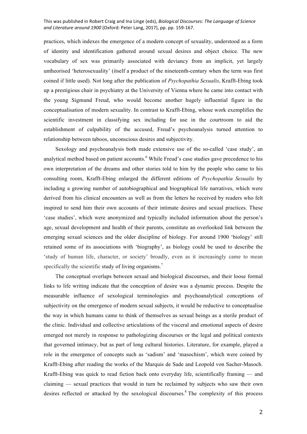practices, which indexes the emergence of a modern concept of sexuality, understood as a form of identity and identification gathered around sexual desires and object choice. The new vocabulary of sex was primarily associated with deviancy from an implicit, yet largely untheorised 'heterosexuality' (itself a product of the nineteenth-century when the term was first coined if little used). Not long after the publication of *Psychopathia Sexualis*, Krafft-Ebing took up a prestigious chair in psychiatry at the University of Vienna where he came into contact with the young Sigmund Freud, who would become another hugely influential figure in the conceptualisation of modern sexuality. In contrast to Krafft-Ebing, whose work exemplifies the scientific investment in classifying sex including for use in the courtroom to aid the establishment of culpability of the accused, Freud's psychoanalysis turned attention to relationship between taboos, unconscious desires and subjectivity.

Sexology and psychoanalysis both made extensive use of the so-called 'case study', an analytical method based on patient accounts.<sup>6</sup> While Freud's case studies gave precedence to his own interpretation of the dreams and other stories told to him by the people who came to his consulting room, Krafft-Ebing enlarged the different editions of *Psychopathia Sexualis* by including a growing number of autobiographical and biographical life narratives, which were derived from his clinical encounters as well as from the letters he received by readers who felt inspired to send him their own accounts of their intimate desires and sexual practices. These 'case studies', which were anonymized and typically included information about the person's age, sexual development and health of their parents, constitute an overlooked link between the emerging sexual sciences and the older discipline of biology. For around 1900 'biology' still retained some of its associations with 'biography', as biology could be used to describe the 'study of human life, character, or society' broadly, even as it increasingly came to mean specifically the scientific study of living organisms.<sup>7</sup>

The conceptual overlaps between sexual and biological discourses, and their loose formal links to life writing indicate that the conception of desire was a dynamic process. Despite the measurable influence of sexological terminologies and psychoanalytical conceptions of subjectivity on the emergence of modern sexual subjects, it would be reductive to conceptualise the way in which humans came to think of themselves as sexual beings as a sterile product of the clinic. Individual and collective articulations of the visceral and emotional aspects of desire emerged not merely in response to pathologizing discourses or the legal and political contexts that governed intimacy, but as part of long cultural histories. Literature, for example, played a role in the emergence of concepts such as 'sadism' and 'masochism', which were coined by Krafft-Ebing after reading the works of the Marquis de Sade and Leopold von Sacher-Masoch. Krafft-Ebing was quick to read fiction back onto everyday life, scientifically framing — and claiming — sexual practices that would in turn be reclaimed by subjects who saw their own desires reflected or attacked by the sexological discourses.<sup>8</sup> The complexity of this process

2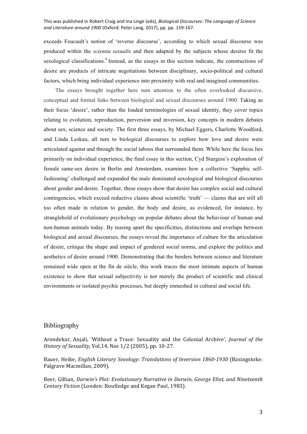exceeds Foucault's notion of 'reverse discourse', according to which sexual discourse was produced within the *scientia sexualis* and then adapted by the subjects whose desires fit the sexological classifications.<sup>9</sup> Instead, as the essays in this section indicate, the constructions of desire are products of intricate negotiations between disciplinary, socio-political and cultural factors, which bring individual experience into proximity with real and imagined communities.

The essays brought together here turn attention to the often overlooked discursive, conceptual and formal links between biological and sexual discourses around 1900. Taking as their focus 'desire', rather than the loaded terminologies of sexual identity, they cover topics relating to evolution, reproduction, perversion and inversion, key concepts in modern debates about sex, science and society. The first three essays, by Michael Eggers, Charlotte Woodford, and Linda Leskau, all turn to biological discourses to explore how love and desire were articulated against and through the social taboos that surrounded them. While here the focus lies primarily on individual experience, the final essay in this section, Cyd Sturgess's exploration of female same-sex desire in Berlin and Amsterdam, examines how a collective 'Sapphic selffashioning' challenged and expanded the male dominated sexological and biological discourses about gender and desire. Together, these essays show that desire has complex social and cultural contingencies, which exceed reductive claims about scientific 'truth' — claims that are still all too often made in relation to gender, the body and desire, as evidenced, for instance, by stranglehold of evolutionary psychology on popular debates about the behaviour of human and non-human animals today. By teasing apart the specificities, distinctions and overlaps between biological and sexual discourses, the essays reveal the importance of culture for the articulation of desire, critique the shape and impact of gendered social norms, and explore the politics and aesthetics of desire around 1900. Demonstrating that the borders between science and literature remained wide open at the fin de siècle, this work traces the most intimate aspects of human existence to show that sexual subjectivity is not merely the product of scientific and clinical environments or isolated psychic processes, but deeply enmeshed in cultural and social life.

## Bibliography

Arondekar, Anjali, 'Without a Trace: Sexuality and the Colonial Archive', *Journal of the History of Sexuality, Vol,14, Nos 1/2 (2005), pp. 10-27.* 

Bauer, Heike, *English Literary Sexology: Translations of Inversion 1860-1930* (Basingstoke: Palgrave Macmillan, 2009).

Beer, Gillian, *Darwin's Plot: Evolutionary Narrative in Darwin, George Eliot, and Nineteenth Century Fiction* (London: Routledge and Kegan Paul, 1983).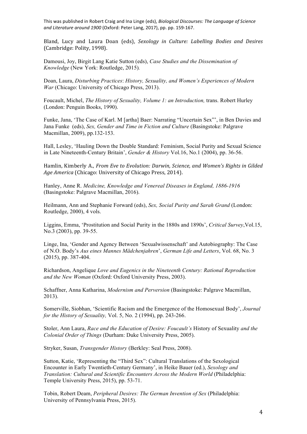Bland, Lucy and Laura Doan (eds), *Sexology in Culture: Labelling Bodies and Desires* (Cambridge: Polity, 1998).

Damousi, Joy, Birgit Lang Katie Sutton (eds), *Case Studies and the Dissemination of Knowledge* (New York: Routledge, 2015)*.*

Doan, Laura, *Disturbing Practices*: *History, Sexuality, and Women's Experiences of Modern War* (Chicago: University of Chicago Press, 2013).

Foucault, Michel, *The History of Sexuality, Volume 1: an Introduction,* trans. Robert Hurley (London: Penguin Books, 1990).

Funke, Jana, 'The Case of Karl. M [artha] Baer: Narrating "Uncertain Sex"', in Ben Davies and Jana Funke (eds), *Sex, Gender and Time in Fiction and Culture* (Basingstoke: Palgrave Macmillan, 2009), pp.132-153.

Hall, Lesley, 'Hauling Down the Double Standard: Feminism, Social Purity and Sexual Science in Late Nineteenth-Century Britain', *Gender & History* Vol.16, No.1 (2004), pp. 36-56.

Hamlin, Kimberly A., *From Eve to Evolution: Darwin, Science, and Women's Rights in Gilded Age America* (Chicago: University of Chicago Press, 2014).

Hanley, Anne R. *Medicine, Knowledge and Venereal Diseases in England, 1886-1916*  (Basingstoke: Palgrave Macmillan, 2016).

Heilmann, Ann and Stephanie Forward (eds), *Sex, Social Purity and Sarah Grand* (London: Routledge, 2000), 4 vols.

Liggins, Emma, 'Prostitution and Social Purity in the 1880s and 1890s', *Critical Survey*,Vol.15, No.3 (2003), pp. 39-55.

Linge, Ina, 'Gender and Agency Between 'Sexualwissenschaft' and Autobiography: The Case of N.O. Body's *Aus eines Mannes Mädchenjahren*', *German Life and Letters*, Vol. 68, No. 3 (2015), pp. 387-404.

Richardson, Angelique *Love and Eugenics in the Nineteenth Century: Rational Reproduction and the New Woman* (Oxford: Oxford University Press, 2003).

Schaffner, Anna Katharina, *Modernism and Perversion* (Basingstoke: Palgrave Macmillan, 2013).

Somerville, Siobhan, 'Scientific Racism and the Emergence of the Homosexual Body', *Journal for the History of Sexuality,* Vol. 5, No. 2 (1994), pp. 243-266.

Stoler, Ann Laura, *Race and the Education of Desire: Foucault's* History of Sexuality *and the Colonial Order of Things* (Durham: Duke University Press, 2005).

Stryker, Susan, *Transgender History* (Berkley: Seal Press, 2008).

Sutton, Katie, 'Representing the "Third Sex": Cultural Translations of the Sexological Encounter in Early Twentieth-Century Germany', in Heike Bauer (ed.), *Sexology and Translation: Cultural and Scientific Encounters Across the Modern World* (Philadelphia: Temple University Press, 2015), pp. 53-71.

Tobin, Robert Deam, *Peripheral Desires: The German Invention of Sex* (Philadelphia: University of Pennsylvania Press, 2015).